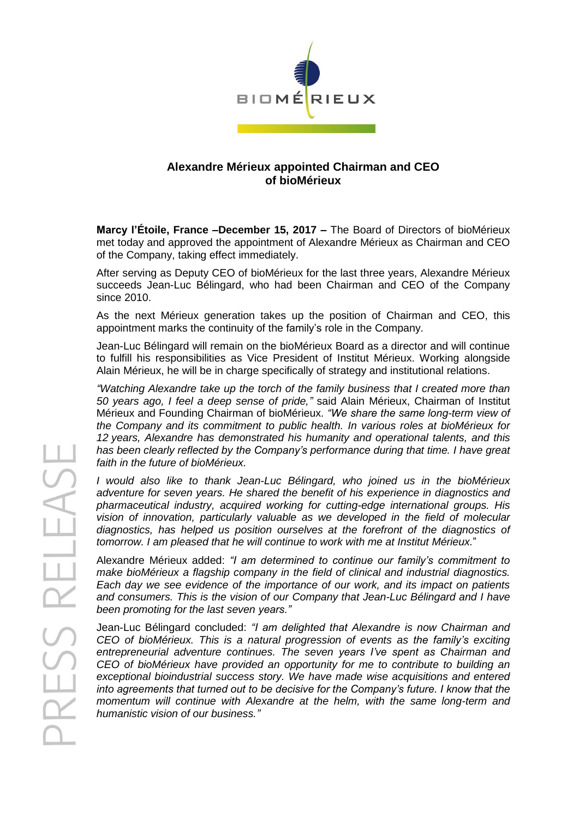

## **Alexandre Mérieux appointed Chairman and CEO of bioMérieux**

**Marcy l'Étoile, France –December 15, 2017 –** The Board of Directors of bioMérieux met today and approved the appointment of Alexandre Mérieux as Chairman and CEO of the Company, taking effect immediately.

After serving as Deputy CEO of bioMérieux for the last three years, Alexandre Mérieux succeeds Jean-Luc Bélingard, who had been Chairman and CEO of the Company since 2010.

As the next Mérieux generation takes up the position of Chairman and CEO, this appointment marks the continuity of the family's role in the Company.

Jean-Luc Bélingard will remain on the bioMérieux Board as a director and will continue to fulfill his responsibilities as Vice President of Institut Mérieux. Working alongside Alain Mérieux, he will be in charge specifically of strategy and institutional relations.

*"Watching Alexandre take up the torch of the family business that I created more than 50 years ago, I feel a deep sense of pride,"* said Alain Mérieux, Chairman of Institut Mérieux and Founding Chairman of bioMérieux. *"We share the same long-term view of the Company and its commitment to public health. In various roles at bioMérieux for 12 years, Alexandre has demonstrated his humanity and operational talents, and this has been clearly reflected by the Company's performance during that time. I have great faith in the future of bioMérieux.*

*I would also like to thank Jean-Luc Bélingard, who joined us in the bioMérieux adventure for seven years. He shared the benefit of his experience in diagnostics and pharmaceutical industry, acquired working for cutting-edge international groups. His vision of innovation, particularly valuable as we developed in the field of molecular diagnostics, has helped us position ourselves at the forefront of the diagnostics of tomorrow. I am pleased that he will continue to work with me at Institut Mérieux.*"

Alexandre Mérieux added: *"I am determined to continue our family's commitment to make bioMérieux a flagship company in the field of clinical and industrial diagnostics. Each day we see evidence of the importance of our work, and its impact on patients and consumers. This is the vision of our Company that Jean-Luc Bélingard and I have been promoting for the last seven years."*

Jean-Luc Bélingard concluded: *"I am delighted that Alexandre is now Chairman and CEO of bioMérieux. This is a natural progression of events as the family's exciting entrepreneurial adventure continues. The seven years I've spent as Chairman and CEO of bioMérieux have provided an opportunity for me to contribute to building an exceptional bioindustrial success story. We have made wise acquisitions and entered into agreements that turned out to be decisive for the Company's future. I know that the momentum will continue with Alexandre at the helm, with the same long-term and humanistic vision of our business."*